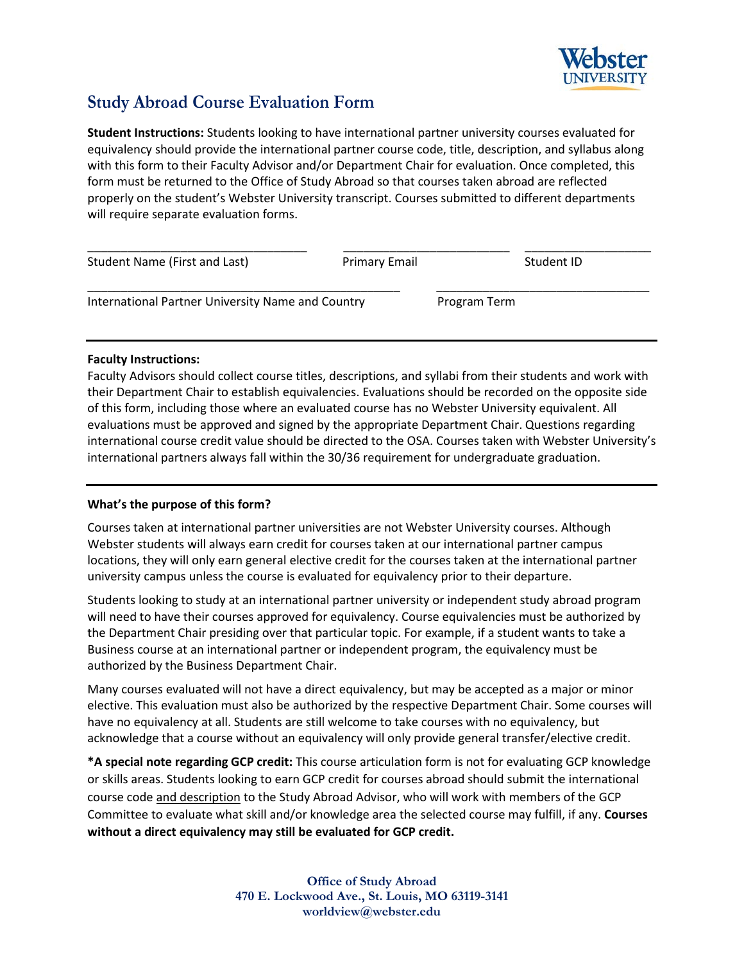

## **Study Abroad Course Evaluation Form**

**Student Instructions:** Students looking to have international partner university courses evaluated for equivalency should provide the international partner course code, title, description, and syllabus along with this form to their Faculty Advisor and/or Department Chair for evaluation. Once completed, this form must be returned to the Office of Study Abroad so that courses taken abroad are reflected properly on the student's Webster University transcript. Courses submitted to different departments will require separate evaluation forms.

| Student Name (First and Last)                     | <b>Primary Email</b> | Student ID   |  |
|---------------------------------------------------|----------------------|--------------|--|
| International Partner University Name and Country |                      | Program Term |  |

## **Faculty Instructions:**

Faculty Advisors should collect course titles, descriptions, and syllabi from their students and work with their Department Chair to establish equivalencies. Evaluations should be recorded on the opposite side of this form, including those where an evaluated course has no Webster University equivalent. All evaluations must be approved and signed by the appropriate Department Chair. Questions regarding international course credit value should be directed to the OSA. Courses taken with Webster University's international partners always fall within the 30/36 requirement for undergraduate graduation.

## **What's the purpose of this form?**

Courses taken at international partner universities are not Webster University courses. Although Webster students will always earn credit for courses taken at our international partner campus locations, they will only earn general elective credit for the courses taken at the international partner university campus unless the course is evaluated for equivalency prior to their departure.

Students looking to study at an international partner university or independent study abroad program will need to have their courses approved for equivalency. Course equivalencies must be authorized by the Department Chair presiding over that particular topic. For example, if a student wants to take a Business course at an international partner or independent program, the equivalency must be authorized by the Business Department Chair.

Many courses evaluated will not have a direct equivalency, but may be accepted as a major or minor elective. This evaluation must also be authorized by the respective Department Chair. Some courses will have no equivalency at all. Students are still welcome to take courses with no equivalency, but acknowledge that a course without an equivalency will only provide general transfer/elective credit.

**\*A special note regarding GCP credit:** This course articulation form is not for evaluating GCP knowledge or skills areas. Students looking to earn GCP credit for courses abroad should submit the international course code and description to the Study Abroad Advisor, who will work with members of the GCP Committee to evaluate what skill and/or knowledge area the selected course may fulfill, if any. **Courses without a direct equivalency may still be evaluated for GCP credit.**

> **Office of Study Abroad 470 E. Lockwood Ave., St. Louis, MO 63119-3141 worldview@webster.edu**